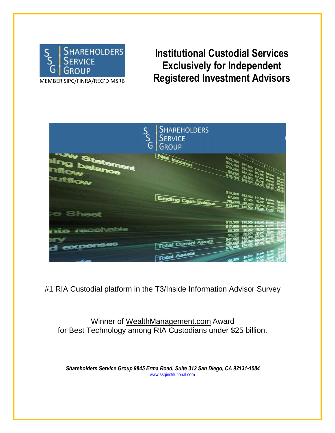

MEMBER SIPC/FINRA/REG'D MSRB

# **Institutional Custodial Services Exclusively for Independent Registered Investment Advisors**



#1 RIA Custodial platform in the T3/Inside Information Advisor Survey

Winner of WealthManagement.com Award for Best Technology among RIA Custodians under \$25 billion.

*Shareholders Service Group 9845 Erma Road, Suite 312 San Diego, CA 92131-1084* www.ssginstitutional.com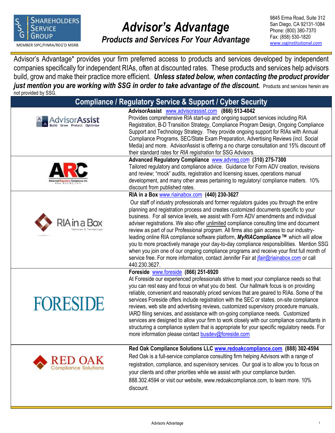

# *Advisor's Advantage*

**Products and Services For Your Advantage** Fax: (858) 530-1820<br>MEMBER SIPC/FINRA/REG'D MSRB

9845 Erma Road, Suite 312 San Diego, CA 92131-1084 Phone: (800) 380-7370 Fax: (858) 530-1820

Advisor's Advantage\* provides your firm preferred access to products and services developed by independent companies specifically for independent RIAs, often at discounted rates. These products and services help advisors build, grow and make their practice more efficient. *Unless stated below, when contacting the product provider* just mention you are working with SSG in order to take advantage of the discount. Products and services herein are not provided by SSG.<br>International by SSG.

| <b>DULPLOVIDED DY JOU.</b> | <b>Compliance / Regulatory Service &amp; Support / Cyber Security</b>                                                                                                                                                                                                                                                                                                                                                                                                                                                                                                                                                                                                                                                                                                                                                                                                                                                 |
|----------------------------|-----------------------------------------------------------------------------------------------------------------------------------------------------------------------------------------------------------------------------------------------------------------------------------------------------------------------------------------------------------------------------------------------------------------------------------------------------------------------------------------------------------------------------------------------------------------------------------------------------------------------------------------------------------------------------------------------------------------------------------------------------------------------------------------------------------------------------------------------------------------------------------------------------------------------|
| Grow Protect Optimize      | AdvisorAssist www.advisorassist.com (866) 513-4042<br>Provides comprehensive RIA start-up and ongoing support services including RIA<br>Registration, B-D Transition Strategy, Compliance Program Design, Ongoing Compliance<br>Support and Technology Strategy. They provide ongoing support for RIAs with Annual<br>Compliance Programs, SEC/State Exam Preparation, Advertising Reviews (incl. Social<br>Media) and more. AdvisorAssist is offering a no charge consultation and 15% discount off                                                                                                                                                                                                                                                                                                                                                                                                                  |
|                            | their standard rates for RIA registration for SSG Advisors.<br>Advanced Regulatory Compliance www.advreg.com (310) 275-7300<br>Tailored regulatory and compliance advice. Guidance for Form ADV creation, revisions<br>and review; "mock" audits, registration and licensing issues, operations manual<br>development, and many other areas pertaining to regulatory/ compliance matters. 10%<br>discount from published rates.                                                                                                                                                                                                                                                                                                                                                                                                                                                                                       |
|                            | RIA in a Box www.riainabox.com (440) 230-3627<br>Our staff of industry professionals and former regulators guides you through the entire<br>planning and registration process and creates customized documents specific to your<br>business. For all service levels, we assist with Form ADV amendments and individual<br>adviser registrations. We also offer <i>unlimited</i> compliance consulting time and document<br>review as part of our Professional program. All firms also gain access to our industry-<br>leading online RIA compliance software platform, MyRIACompliance ™ which will allow<br>you to more proactively manage your day-to-day compliance responsibilities. Mention SSG<br>when you join one of our ongoing compliance programs and receive your first full month of<br>service free. For more information, contact Jennifer Fair at <i>jfair@riainabox.com</i> or call<br>440.230.3627. |
| <b>FORESIDE</b>            | Foreside www.foreside (866) 251-6920<br>At Foreside our experienced professionals strive to meet your compliance needs so that<br>you can rest easy and focus on what you do best. Our hallmark focus is on providing<br>reliable, convenient and reasonably priced services that are geared to RIAs. Some of the<br>services Foreside offers include registration with the SEC or states, on-site compliance<br>reviews, web site and advertising reviews, customized supervisory procedure manuals,<br>IARD filing services, and assistance with on-going compliance needs. Customized<br>services are designed to allow your firm to work closely with our compliance consultants in<br>structuring a compliance system that is appropriate for your specific regulatory needs. For<br>more information please contact busdev@foreside.com                                                                         |
|                            | Red Oak Compliance Solutions LLC www.redoakcompliance.com (888) 302-4594<br>Red Oak is a full-service compliance consulting firm helping Advisors with a range of<br>registration, compliance, and supervisory services. Our goal is to allow you to focus on<br>your clients and other priorities while we assist with your compliance burden.<br>888.302.4594 or visit our website, www.redoakcompliance.com, to learn more. 10%<br>discount.                                                                                                                                                                                                                                                                                                                                                                                                                                                                       |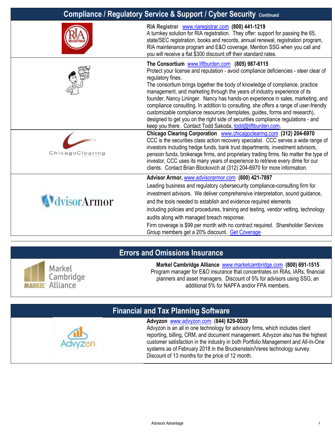| <b>Compliance / Regulatory Service &amp; Support / Cyber Security Continued</b> |                                                                                                                                                                                                                                                                                                                                                                                                                                                                                                                                                                                                                                                                                                                                                                                                                                                                                                                                                                                                                                                                                                                                                                                                                                                   |
|---------------------------------------------------------------------------------|---------------------------------------------------------------------------------------------------------------------------------------------------------------------------------------------------------------------------------------------------------------------------------------------------------------------------------------------------------------------------------------------------------------------------------------------------------------------------------------------------------------------------------------------------------------------------------------------------------------------------------------------------------------------------------------------------------------------------------------------------------------------------------------------------------------------------------------------------------------------------------------------------------------------------------------------------------------------------------------------------------------------------------------------------------------------------------------------------------------------------------------------------------------------------------------------------------------------------------------------------|
|                                                                                 | RIA Registrar www.riaregistrar.com (800) 441-1219<br>A turnkey solution for RIA registration. They offer: support for passing the 65,<br>state/SEC registration, books and records, annual renewal, registration program,<br>RIA maintenance program and E&O coverage. Mention SSG when you call and<br>you will receive a flat \$300 discount off their standard rates.                                                                                                                                                                                                                                                                                                                                                                                                                                                                                                                                                                                                                                                                                                                                                                                                                                                                          |
| ChicagoClearing                                                                 | The Consortium www.liftburden.com (805) 987-6115<br>Protect your license and reputation - avoid compliance deficiencies - steer clear of<br>regulatory fines.<br>The consortium brings together the body of knowledge of compliance, practice<br>management, and marketing through the years of industry experience of its<br>founder, Nancy Lininger. Nancy has hands-on experience in sales, marketing, and<br>compliance consulting. In addition to consulting, she offers a range of user-friendly<br>customizable compliance resources (templates, guides, forms and research),<br>designed to get you on the right side of securities compliance regulations - and<br>keep you there. Contact Todd Sakoda, todd@liftburden.com,<br>Chicago Clearing Corporation <b>WWW.chicagoclearing.com</b> (312) 204-6970<br>CCC is the securities class action recovery specialist. CCC serves a wide range of<br>investors including hedge funds, bank trust departments, investment advisors,<br>pension funds, brokerage firms, and proprietary trading firms. No matter the type of<br>investor, CCC uses its many years of experience to retrieve every dime for our<br>clients. Contact Brian Blockovich at (312) 204-6970 for more information. |
| visorArmor                                                                      | Advisor Armor, www.advisorarmor.com (800) 421-7897<br>Leading business and regulatory cybersecurity compliance-consulting firm for<br>investment advisors. We deliver comprehensive interpretation, sound guidance,<br>and the tools needed to establish and evidence required elements<br>including policies and procedures, training and testing, vendor vetting, technology<br>audits along with managed breach response.<br>Firm coverage is \$99 per month with no contract required. Shareholder Services<br>Group members get a 20% discount. Get Coverage                                                                                                                                                                                                                                                                                                                                                                                                                                                                                                                                                                                                                                                                                 |

## **Errors and Omissions Insurance**



**Markel Cambridge Alliance** [www.markelcambridge.com](http://www.markelcambridge.com/) **(800) 691-1515** Program manager for E&O insurance that concentrates on RIAs, IARs, financial planners and asset managers. Discount of 5% for advisors using SSG, an additional 5% for NAPFA and/or FPA members.

# **Financial and Tax Planning Software**

**Advyzon** [www.advyzon.com](http://www.advyzon.com/) (**844) 829-0039** Advyzon is an all in one technology for advisory firms, which includes client reporting, billing, CRM, and document management. Advyzon also has the highest customer satisfaction in the industry in both Portfolio Management and All-In-One systems as of February 2018 in the Bruckenstein/Veres technology survey. Discount of 13 months for the price of 12 month.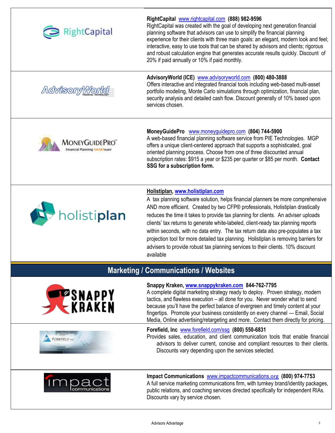

# **Marketing / Communications / Websites**



#### **Snappy Kraken, [www.snappykraken.com](http://www.snappykraken.com/) 844-762-7795**

A complete digital marketing strategy ready to deploy. Proven strategy, modern tactics, and flawless execution – all done for you. Never wonder what to send because you'll have the perfect balance of evergreen and timely content at your fingertips. Promote your business consistently on every channel — Email, Social Media, Online advertising/retargeting and more. Contact them directly for pricing.

#### **Forefield, Inc** [www.forefield.com/ssg](http://www.forefield.com/ssg) **(800) 550-6831**

Provides sales, education, and client communication tools that enable financial advisors to deliver current, concise and compliant resources to their clients. Discounts vary depending upon the services selected.



FOREFIELD.

# **Impact Communications** [www.impactcommunications.](http://www.impactcommunications.org/)[org](http://www.impactcommunications.org/) **(800) 974-7753**

A full service marketing communications firm, with turnkey brand/identity packages, public relations, and coaching services directed specifically for independent RIAs. Discounts vary by service chosen.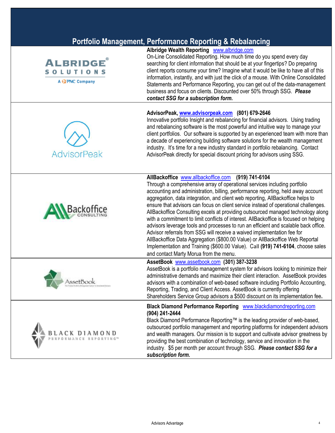|                                                             | <b>Portfolio Management, Performance Reporting &amp; Rebalancing</b>                                                                                                                                                                                                                                                                                                                                                                                                                                                                                                                                                                                                                                                                                                                                                                                                                                                                                       |
|-------------------------------------------------------------|------------------------------------------------------------------------------------------------------------------------------------------------------------------------------------------------------------------------------------------------------------------------------------------------------------------------------------------------------------------------------------------------------------------------------------------------------------------------------------------------------------------------------------------------------------------------------------------------------------------------------------------------------------------------------------------------------------------------------------------------------------------------------------------------------------------------------------------------------------------------------------------------------------------------------------------------------------|
| <b>ALBRIDGE</b><br><b>SOLUTION</b><br>A <b>QPNC</b> Company | Albridge Wealth Reporting www.albridge.com<br>On-Line Consolidated Reporting. How much time do you spend every day<br>searching for client information that should be at your fingertips? Do preparing<br>client reports consume your time? Imagine what it would be like to have all of this<br>information, instantly, and with just the click of a mouse. With Online Consolidated<br>Statements and Performance Reporting, you can get out of the data-management<br>business and focus on clients. Discounted over 50% through SSG. Please<br>contact SSG for a subscription form.                                                                                                                                                                                                                                                                                                                                                                    |
| <b>AdvisorPeak</b>                                          | AdvisorPeak, www.advisorpeak.com (801) 679-2646<br>Innovative portfolio Insight and rebalancing for financial advisors. Using trading<br>and rebalancing software is the most powerful and intuitive way to manage your<br>client portfolios. Our software is supported by an experienced team with more than<br>a decade of experiencing building software solutions for the wealth management<br>industry. It's time for a new industry standard in portfolio rebalancing. Contact<br>AdvisorPeak directly for special discount pricing for advisors using SSG.                                                                                                                                                                                                                                                                                                                                                                                          |
| Backo                                                       | AllBackoffice www.allbackoffice.com (919) 741-6104<br>Through a comprehensive array of operational services including portfolio<br>accounting and administration, billing, performance reporting, held away account<br>aggregation, data integration, and client web reporting, AllBackoffice helps to<br>ensure that advisors can focus on client service instead of operational challenges.<br>AllBackoffice Consulting excels at providing outsourced managed technology along<br>with a commitment to limit conflicts of interest. AllBackoffice is focused on helping<br>advisors leverage tools and processes to run an efficient and scalable back office.<br>Advisor referrals from SSG will receive a waived implementation fee for<br>AllBackoffice Data Aggregation (\$800.00 Value) or AllBackoffice Web Reportal<br>Implementation and Training (\$600.00 Value). Call (919) 741-6104, choose sales<br>and contact Marty Morua from the menu. |
| \ssetBook                                                   | AssetBook www.assetbook.com (301) 387-3238<br>AssetBook is a portfolio management system for advisors looking to minimize their<br>administrative demands and maximize their client interaction. AssetBook provides<br>advisors with a combination of web-based software including Portfolio Accounting,<br>Reporting, Trading, and Client Access. AssetBook is currently offering<br>Shareholders Service Group advisors a \$500 discount on its implementation fee.                                                                                                                                                                                                                                                                                                                                                                                                                                                                                      |
| BLACK DIAMOND<br>PERFORMANCE REPORTING™                     | <b>Black Diamond Performance Reporting WWW.blackdiamondreporting.com</b><br>(904) 241-2444<br>Black Diamond Performance Reporting™ is the leading provider of web-based,<br>outsourced portfolio management and reporting platforms for independent advisors<br>and wealth managers. Our mission is to support and cultivate advisor greatness by<br>providing the best combination of technology, service and innovation in the<br>industry. \$5 per month per account through SSG. Please contact SSG for a                                                                                                                                                                                                                                                                                                                                                                                                                                              |

#### Advisors Advantage 44

*subscription form.*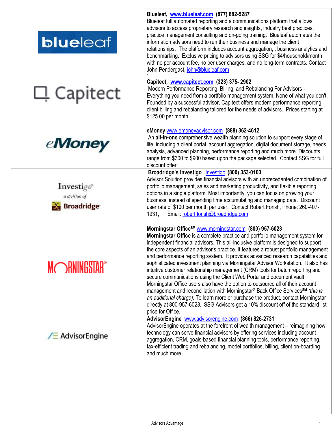| <b>blueleaf</b>                                        | Blueleaf, www.blueleaf.com (877) 882-5287<br>Blueleaf full automated reporting and a communications platform that allows<br>advisors to access proprietary research and insights, industry best practices,<br>practice management consulting and on-going training. Blueleaf automates the<br>information advisors need to run their business and manage the client<br>relationships. The platform includes account aggregation, , business analytics and<br>benchmarking. Exclusive pricing to advisors using SSG for \$4/household/month<br>with no per account fee, no per user charges, and no long-term contracts. Contact<br>John Pendergast, john@blueleaf.com                                                                                                                                                                                                                                                                                                                                                                                     |
|--------------------------------------------------------|-----------------------------------------------------------------------------------------------------------------------------------------------------------------------------------------------------------------------------------------------------------------------------------------------------------------------------------------------------------------------------------------------------------------------------------------------------------------------------------------------------------------------------------------------------------------------------------------------------------------------------------------------------------------------------------------------------------------------------------------------------------------------------------------------------------------------------------------------------------------------------------------------------------------------------------------------------------------------------------------------------------------------------------------------------------|
| 口 Capitect                                             | Capitect, www.capitect.com (323) 375-2902<br>Modern Performance Reporting, Billing, and Rebalancing For Advisors -<br>Everything you need from a portfolio management system. None of what you don't.<br>Founded by a successful advisor, Capitect offers modern performance reporting,<br>client billing and rebalancing tailored for the needs of advisors. Prices starting at<br>\$125.00 per month.                                                                                                                                                                                                                                                                                                                                                                                                                                                                                                                                                                                                                                                   |
| <i><b>eMoney</b></i>                                   | eMoney www.emoneyadvisor.com (888) 362-4612<br>An all-in-one comprehensive wealth planning solution to support every stage of<br>life, including a client portal, account aggregation, digital document storage, needs<br>analysis, advanced planning, performance reporting and much more. Discounts<br>range from \$300 to \$900 based upon the package selected. Contact SSG for full<br>discount offer.                                                                                                                                                                                                                                                                                                                                                                                                                                                                                                                                                                                                                                               |
| Investigo"<br>a division of<br>Broadridge <sup>®</sup> | Broadridge's Investigo Investigo (800) 353-0103<br>Advisor Solution provides financial advisors with an unprecedented combination of<br>portfolio management, sales and marketing productivity, and flexible reporting<br>options in a single platform. Most importantly, you can focus on growing your<br>business, instead of spending time accumulating and managing data. Discount<br>user rate of \$100 per month per user. Contact Robert Forish, Phone: 260-407-<br>Email: robert.forish@broadridge.com<br>1931,                                                                                                                                                                                                                                                                                                                                                                                                                                                                                                                                   |
| <b>MORNINGSTAR®</b>                                    | Morningstar Office <sup>SM</sup> www.morningstar.com (800) 957-6023<br>Morningstar Office is a complete practice and portfolio management system for<br>independent financial advisors. This all-inclusive platform is designed to support<br>the core aspects of an advisor's practice. It features a robust portfolio management<br>and performance reporting system. It provides advanced research capabilities and<br>sophisticated investment planning via Morningstar Advisor Workstation. It also has<br>intuitive customer relationship management (CRM) tools for batch reporting and<br>secure communications using the Client Web Portal and document vault.<br>Morningstar Office users also have the option to outsource all of their account<br>management and reconciliation with Morningstar® Back Office Services <sup>SM</sup> (this is<br>an additional charge). To learn more or purchase the product, contact Morningstar<br>directly at 800-957-6023. SSG Advisors get a 10% discount off of the standard list<br>price for Office. |
| <b>∕ E</b> Advisor Engine                              | AdvisorEngine www.advisorengine.com (866) 826-2731<br>AdvisorEngine operates at the forefront of wealth management – reimagining how<br>technology can serve financial advisors by offering services including account<br>aggregation, CRM, goals-based financial planning tools, performance reporting,<br>tax-efficient trading and rebalancing, model portfolios, billing, client on-boarding<br>and much more.                                                                                                                                                                                                                                                                                                                                                                                                                                                                                                                                                                                                                                        |
|                                                        |                                                                                                                                                                                                                                                                                                                                                                                                                                                                                                                                                                                                                                                                                                                                                                                                                                                                                                                                                                                                                                                           |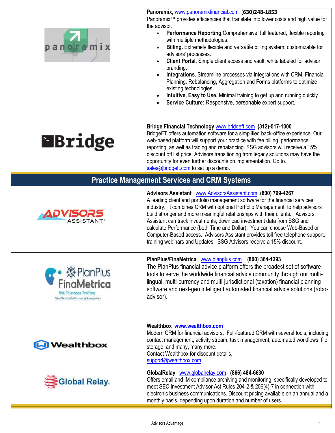**Panoramix,** [www.panoramixfinancial.com](http://www.panoramixfinancial.com/)(**630)248-1853**



Panoramix™ provides efficiencies that translate into lower costs and high value for the advisor.

- **Performance Reporting.**Comprehensive, full featured, flexible reporting with multiple methodologies.
- **Billing.** Extremely flexible and versatile billing system, customizable for advisors' processes.
- **Client Portal.** Simple client access and vault, white labeled for advisor branding.
- **Integrations.** Streamline processes via integrations with CRM, Financial Planning, Rebalancing, Aggregation and Forms platforms to optimize existing technologies.
- **Intuitive, Easy to Use.** Minimal training to get up and running quickly.
- **Service Culture:** Responsive, personable expert support.

# **EBridge**

**Bridge Financial Technology** [www.bridgeft.com](http://www.bridgeft.com/) **(312)-517-1000** BridgeFT offers automation software for a simplified back-office experience. Our web-based platform will support your practice with fee billing, performance reporting, as well as trading and rebalancing. SSG advisors will receive a 15% discount off list price. Advisors transitioning from legacy solutions may have the opportunity for even further discounts on implementation. Go to. [sales@bridgeft.com](mailto:sales@bridgeft.com) to set up a demo.

## **Practice Management Services and CRM Systems**



**PlanPlus** 

**Advisors Assistant** [www.AdvisorsAssistant.com](http://www.advisorsassistant.com/) **(800) 799-4267** A leading client and portfolio management software for the financial services industry. It combines CRM with optional Portfolio Management, to help advisors build stronger and more meaningful relationships with their clients. Advisors Assistant can track investments, download investment data from SSG and calculate Performance (both Time and Dollar). You can choose Web-Based or Computer-Based access. Advisors Assistant provides toll free telephone support, training webinars and Updates. SSG Advisors receive a 15% discount.

#### **PlanPlus/FinaMetrica** [www.planplus.com](http://www.planplus.com/) **(800) 364-1293**

The PlanPlus financial advice platform offers the broadest set of software tools to serve the worldwide financial advice community through our multilingual, multi-currency and multi-jurisdictional (taxation) financial planning software and next-gen intelligent automated financial advice solutions (roboadvisor).



**Risk Tolerance Profiling** PlanPlits Global Group of Companies



#### **Wealthbox [www.wealthbox.com](http://www.wealthbox.com/)**

Modern CRM for financial advisors**.** Full-featured CRM with several tools, including contact management, activity stream, task management, automated workflows, file storage, and many, many more. Contact Wealthbox for discount details, [support@wealthbox.com](mailto:support@wealthbox.com)

#### **GlobalRelay** [www.globalrelay.com](http://www.globalrelay.com/) **(866) 484-6630**

Offers email and IM compliance archiving and monitoring, specifically developed to meet SEC Investment Advisor Act Rules 204-2 & 206(4)-7 in connection with electronic business communications. Discount pricing available on an annual and a monthly basis, depending upon duration and number of users.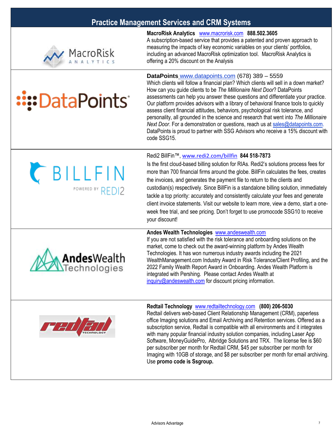## **Practice Management Services and CRM Systems**



**::::DataPoints** 

POWERED BY REDI2

**Andes**Wealth Technologies

#### **MacroRisk Analytics** [www.macrorisk.com](http://www.macrorisk.com/) **888.502.3605**

A subscription-based service that provides a patented and proven approach to measuring the impacts of key economic variables on your clients' portfolios, including an advanced MacroRisk optimization tool. MacroRisk Analytics is offering a 20% discount on the Analysis

#### **DataPoints** [www.datapoints.com](http://www.datapoints.com/) (678) 389 – 5559

Which clients will follow a financial plan? Which clients will sell in a down market? How can you guide clients to be *The Millionaire Next Door*? DataPoints assessments can help you answer these questions and differentiate your practice. Our platform provides advisors with a library of behavioral finance tools to quickly assess client financial attitudes, behaviors, psychological risk tolerance, and personality, all grounded in the science and research that went into *The Millionaire Next Door.* For a demonstration or questions, reach us a[t sales@datapoints.com.](mailto:sales@datapoints.com?subject=Information%20on%20DataPoints%20-%20SSG%20referral) DataPoints is proud to partner with SSG Advisors who receive a 15% discount with code SSG15.

## Redi2 BillFin™, [www.redi2.com/billfin](http://www.redi2.com/billfin) **844 518-7873** Is the first cloud-based billing solution for RIAs. Redi2's solutions process fees for CBILLFIN

more than 700 financial firms around the globe. BillFin calculates the fees, creates the invoices, and generates the payment file to return to the clients and custodian(s) respectively. Since BillFin is a standalone billing solution, immediately tackle a top priority: accurately and consistently calculate your fees and generate client invoice statements. Visit our website to learn more, view a demo, start a oneweek free trial, and see pricing. Don't forget to use promocode SSG10 to receive your discount!

#### **Andes Wealth Technologies** [www.andeswealth.com](http://www.andeswealth.com/)

If you are not satisfied with the risk tolerance and onboarding solutions on the market, come to check out the award-winning platform by Andes Wealth Technologies. It has won numerous industry awards including the 2021 WealthManagement.com Industry Award in Risk Tolerance/Client Profiling, and the 2022 Family Wealth Report Award in Onboarding. Andes Wealth Platform is integrated with Pershing. Please contact Andes Wealth at [inquiry@andeswealth.com](mailto:inquiry@andeswealth.com) for discount pricing information.



#### **Redtail Technology** [www.redtailtechnology.com](http://www.redtailtechnology.com/) **(800) 206-5030**

Redtail delivers web-based Client Relationship Management (CRM), paperless office Imaging solutions and Email Archiving and Retention services. Offered as a subscription service, Redtail is compatible with all environments and it integrates with many popular financial industry solution companies, including Laser App Software, MoneyGuidePro, Albridge Solutions and TRX. The license fee is \$60 per subscriber per month for Redtail CRM, \$45 per subscriber per month for Imaging with 10GB of storage, and \$8 per subscriber per month for email archiving. Use **promo code is Ssgroup.**



Advisors Advantage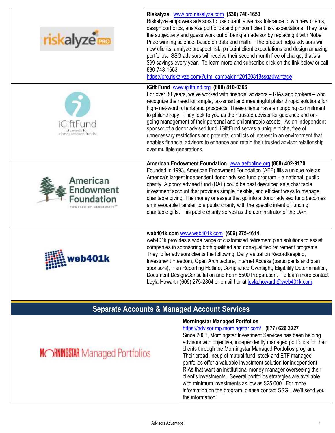

# **Separate Accounts & Managed Account Services**

#### **Morningstar Managed Portfolios** <https://advisor.mp.morningstar.com/>**(877) 626 3227**

Since 2001, Morningstar Investment Services has been helping advisors with objective, independently managed portfolios for their clients through the Morningstar Managed Portfolios program. Their broad lineup of mutual fund, stock and ETF managed portfolios offer a valuable investment solution for independent RIAs that want an institutional money manager overseeing their client's investments. Several portfolios strategies are available with minimum investments as low as \$25,000. For more information on the program, please contact SSG. We'll send you the information!

**MORNINGSTAR** Managed Portfolios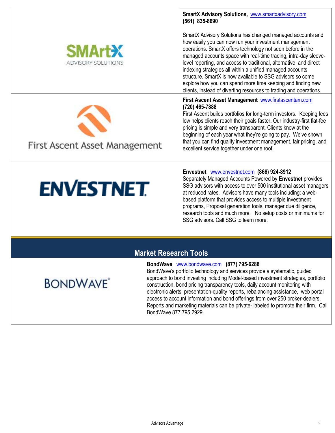

**SmartX Advisory Solutions,** [www.smartxadvisory.com](http://www.smartxadvisory.com/) **(561) 835-8690**

SmartX Advisory Solutions has changed managed accounts and how easily you can now run your investment management operations. SmartX offers technology not seen before in the managed accounts space with real-time trading, intra-day sleevelevel reporting, and access to traditional, alternative, and direct indexing strategies all within a unified managed accounts structure. SmartX is now available to SSG advisors so come explore how you can spend more time keeping and finding new clients, instead of diverting resources to trading and operations.

**First Ascent Asset Management** [www.firstascentam.com](http://www.firstascentam.com/) **(720) 465-7888**

First Ascent builds portfolios for long-term investors. Keeping fees low helps clients reach their goals faster**.** Our industry-first flat-fee pricing is simple and very transparent. Clients know at the beginning of each year what they're going to pay. We've shown that you can find quality investment management, fair pricing, and excellent service together under one roof.

# First Ascent Asset Management

**ENVESTNET** 

#### **Envestnet** [www.envestnet.com](http://www.envestnet.com/) **(866) 924-8912**

Separately Managed Accounts Powered by **Envestnet** provides SSG advisors with access to over 500 institutional asset managers at reduced rates. Advisors have many tools including; a webbased platform that provides access to multiple investment programs, Proposal generation tools, manager due diligence, research tools and much more. No setup costs or minimums for SSG advisors. Call SSG to learn more.

# **Market Research Tools**

#### **BondWave** [www.bondwave.com](http://www.bondwave.com/) **(877) 795-6288**

BondWave's portfolio technology and services provide a systematic, guided approach to bond investing including Model-based investment strategies, portfolio construction, bond pricing transparency tools, daily account monitoring with electronic alerts, presentation-quality reports, rebalancing assistance, web portal access to account information and bond offerings from over 250 broker-dealers. Reports and marketing materials can be private- labeled to promote their firm. Call BondWave 877.795.2929.

# **BONDWAVE**<sup>\*</sup>